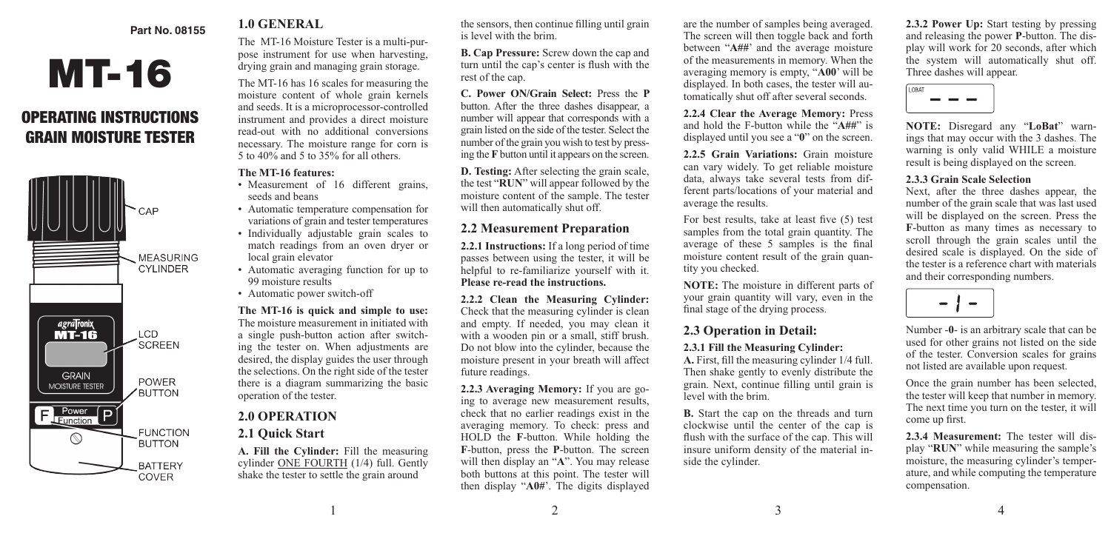### **Part No. 08155**

# MT-16

# OPERATING INSTRUCTIONS GRAIN MOISTURE TESTER



# **1.0 GENERAL**

The MT-16 Moisture Tester is a multi-purpose instrument for use when harvesting, drying grain and managing grain storage.

The MT-16 has 16 scales for measuring the moisture content of whole grain kernels and seeds. It is a microprocessor-controlled instrument and provides a direct moisture read-out with no additional conversions necessary. The moisture range for corn is 5 to 40% and 5 to 35% for all others.

#### **The MT-16 features:**

- Measurement of 16 different grains, seeds and beans
- Automatic temperature compensation for variations of grain and tester temperatures
- Individually adjustable grain scales to match readings from an oven dryer or local grain elevator
- Automatic averaging function for up to 99 moisture results
- Automatic power switch-off

**The MT-16 is quick and simple to use:** The moisture measurement in initiated with a single push-button action after switching the tester on. When adjustments are desired, the display guides the user through the selections. On the right side of the tester there is a diagram summarizing the basic operation of the tester.

# **2.0 OPERATION**

# **2.1 Quick Start**

**A. Fill the Cylinder:** Fill the measuring cylinder ONE FOURTH (1/4) full. Gently shake the tester to settle the grain around

the sensors, then continue filling until grain is level with the brim.

**B. Cap Pressure:** Screw down the cap and turn until the cap's center is flush with the rest of the cap.

**C. Power ON/Grain Select:** Press the **P**  button. After the three dashes disappear, a number will appear that corresponds with a grain listed on the side of the tester. Select the number of the grain you wish to test by pressing the **F** button until it appears on the screen.

**D. Testing:** After selecting the grain scale, the test "**RUN**" will appear followed by the moisture content of the sample. The tester will then automatically shut off.

# **2.2 Measurement Preparation**

**2.2.1 Instructions:** If a long period of time passes between using the tester, it will be helpful to re-familiarize yourself with it. **Please re-read the instructions.**

**2.2.2 Clean the Measuring Cylinder:** Check that the measuring cylinder is clean and empty. If needed, you may clean it with a wooden pin or a small, stiff brush. Do not blow into the cylinder, because the moisture present in your breath will affect future readings.

**2.2.3 Averaging Memory:** If you are going to average new measurement results, check that no earlier readings exist in the averaging memory. To check: press and HOLD the **F**-button. While holding the **F**-button, press the **P**-button. The screen will then display an "**A**". You may release both buttons at this point. The tester will then display "**A0#**'. The digits displayed

are the number of samples being averaged. The screen will then toggle back and forth between "**A##**' and the average moisture of the measurements in memory. When the averaging memory is empty, "**A00**' will be displayed. In both cases, the tester will automatically shut off after several seconds.

**2.2.4 Clear the Average Memory:** Press and hold the F-button while the "**A##**" is displayed until you see a "**0**" on the screen.

**2.2.5 Grain Variations:** Grain moisture can vary widely. To get reliable moisture data, always take several tests from different parts/locations of your material and average the results.

For best results, take at least five (5) test samples from the total grain quantity. The average of these 5 samples is the final moisture content result of the grain quantity you checked.

**NOTE:** The moisture in different parts of your grain quantity will vary, even in the final stage of the drying process.

# **2.3 Operation in Detail:**

#### **2.3.1 Fill the Measuring Cylinder:**

**A.** First, fill the measuring cylinder 1/4 full. Then shake gently to evenly distribute the grain. Next, continue filling until grain is level with the brim.

**B.** Start the cap on the threads and turn clockwise until the center of the cap is flush with the surface of the cap. This will insure uniform density of the material inside the cylinder.

**2.3.2 Power Up:** Start testing by pressing and releasing the power **P**-button. The display will work for 20 seconds, after which the system will automatically shut off. Three dashes will appear.



**NOTE:** Disregard any "**LoBat**" warnings that may occur with the 3 dashes. The warning is only valid WHILE a moisture result is being displayed on the screen.

#### **2.3.3 Grain Scale Selection**

Next, after the three dashes appear, the number of the grain scale that was last used will be displayed on the screen. Press the **F**-button as many times as necessary to scroll through the grain scales until the desired scale is displayed. On the side of the tester is a reference chart with materials and their corresponding numbers.



Number -**0**- is an arbitrary scale that can be used for other grains not listed on the side of the tester. Conversion scales for grains not listed are available upon request.

Once the grain number has been selected, the tester will keep that number in memory. The next time you turn on the tester, it will come up first.

**2.3.4 Measurement:** The tester will display "**RUN**" while measuring the sample's moisture, the measuring cylinder's temperature, and while computing the temperature compensation.